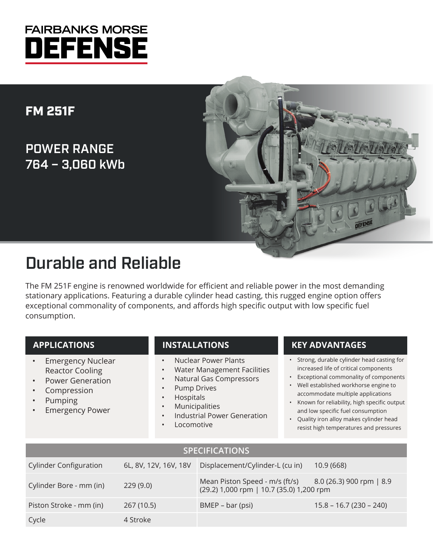## **FAIRBANKS MORSE** DEFENSE

## FM 251F

POWER RANGE 764 – 3,060 kWb



# Durable and Reliable

The FM 251F engine is renowned worldwide for efficient and reliable power in the most demanding stationary applications. Featuring a durable cylinder head casting, this rugged engine option offers exceptional commonality of components, and affords high specific output with low specific fuel consumption.

#### **APPLICATIONS**

- Emergency Nuclear Reactor Cooling
- Power Generation
- **Compression**
- Pumping
- **Emergency Power**

### **INSTALLATIONS**

- Nuclear Power Plants
- Water Management Facilities
- Natural Gas Compressors
- Pump Drives
- Hospitals
- **Municipalities**
- Industrial Power Generation
- **Locomotive**

#### **KEY ADVANTAGES**

- Strong, durable cylinder head casting for increased life of critical components
- Exceptional commonality of components
- Well established workhorse engine to accommodate multiple applications
- Known for reliability, high specific output and low specific fuel consumption
- Quality iron alloy makes cylinder head resist high temperatures and pressures

| <b>SPECIFICATIONS</b>         |                       |                                                                                                     |                          |  |  |  |  |
|-------------------------------|-----------------------|-----------------------------------------------------------------------------------------------------|--------------------------|--|--|--|--|
| <b>Cylinder Configuration</b> | 6L, 8V, 12V, 16V, 18V | Displacement/Cylinder-L (cu in)                                                                     | 10.9(668)                |  |  |  |  |
| Cylinder Bore - mm (in)       | 229(9.0)              | Mean Piston Speed - m/s (ft/s) 8.0 (26.3) 900 rpm   8.9<br>(29.2) 1,000 rpm   10.7 (35.0) 1,200 rpm |                          |  |  |  |  |
| Piston Stroke - mm (in)       | 267 (10.5)            | BMEP – bar (psi)                                                                                    | $15.8 - 16.7(230 - 240)$ |  |  |  |  |
| Cycle                         | 4 Stroke              |                                                                                                     |                          |  |  |  |  |